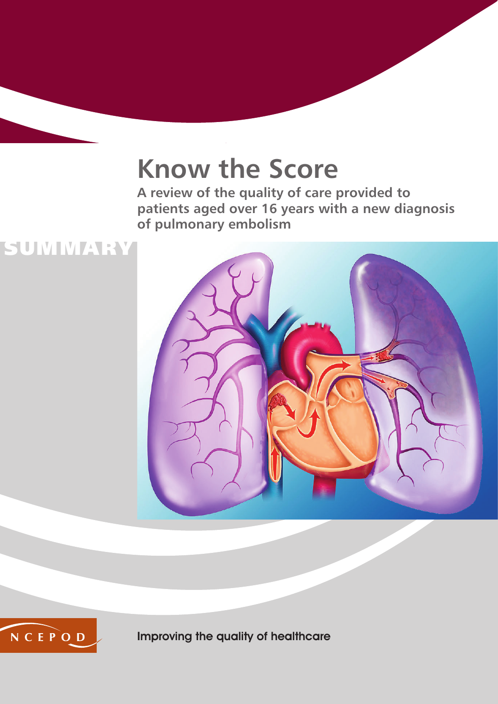## **Know the Score**

**A review of the quality of care provided to patients aged over 16 years with a new diagnosis of pulmonary embolism**





Improving the quality of healthcare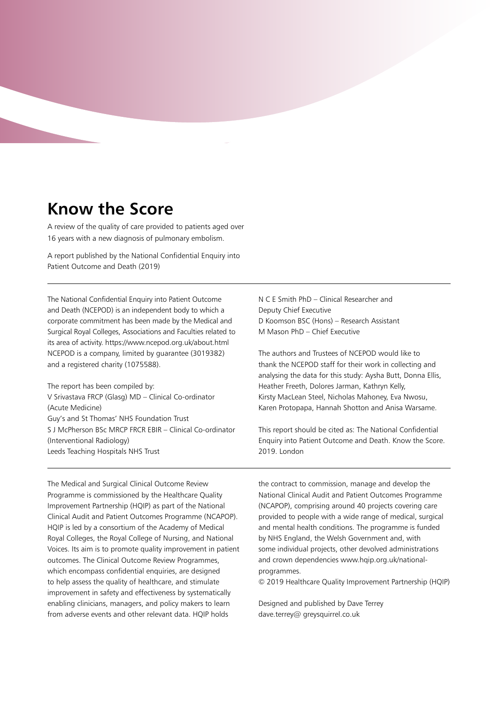### **Know the Score**

A review of the quality of care provided to patients aged over 16 years with a new diagnosis of pulmonary embolism.

A report published by the National Confidential Enquiry into Patient Outcome and Death (2019)

The National Confidential Enquiry into Patient Outcome and Death (NCEPOD) is an independent body to which a corporate commitment has been made by the Medical and Surgical Royal Colleges, Associations and Faculties related to its area of activity. https://www.ncepod.org.uk/about.html NCEPOD is a company, limited by guarantee (3019382) and a registered charity (1075588).

The report has been compiled by: V Srivastava FRCP (Glasg) MD – Clinical Co-ordinator (Acute Medicine) Guy's and St Thomas' NHS Foundation Trust S J McPherson BSc MRCP FRCR EBIR – Clinical Co-ordinator (Interventional Radiology) Leeds Teaching Hospitals NHS Trust

N C E Smith PhD – Clinical Researcher and Deputy Chief Executive D Koomson BSC (Hons) – Research Assistant M Mason PhD – Chief Executive

The authors and Trustees of NCEPOD would like to thank the NCEPOD staff for their work in collecting and analysing the data for this study: Aysha Butt, Donna Ellis, Heather Freeth, Dolores Jarman, Kathryn Kelly, Kirsty MacLean Steel, Nicholas Mahoney, Eva Nwosu, Karen Protopapa, Hannah Shotton and Anisa Warsame.

This report should be cited as: The National Confidential Enquiry into Patient Outcome and Death. Know the Score. 2019. London

The Medical and Surgical Clinical Outcome Review Programme is commissioned by the Healthcare Quality Improvement Partnership (HQIP) as part of the National Clinical Audit and Patient Outcomes Programme (NCAPOP). HQIP is led by a consortium of the Academy of Medical Royal Colleges, the Royal College of Nursing, and National Voices. Its aim is to promote quality improvement in patient outcomes. The Clinical Outcome Review Programmes, which encompass confidential enquiries, are designed to help assess the quality of healthcare, and stimulate improvement in safety and effectiveness by systematically enabling clinicians, managers, and policy makers to learn from adverse events and other relevant data. HQIP holds

the contract to commission, manage and develop the National Clinical Audit and Patient Outcomes Programme (NCAPOP), comprising around 40 projects covering care provided to people with a wide range of medical, surgical and mental health conditions. The programme is funded by NHS England, the Welsh Government and, with some individual projects, other devolved administrations and crown dependencies www.hqip.org.uk/nationalprogrammes.

© 2019 Healthcare Quality Improvement Partnership (HQIP)

Designed and published by Dave Terrey dave.terrey@ greysquirrel.co.uk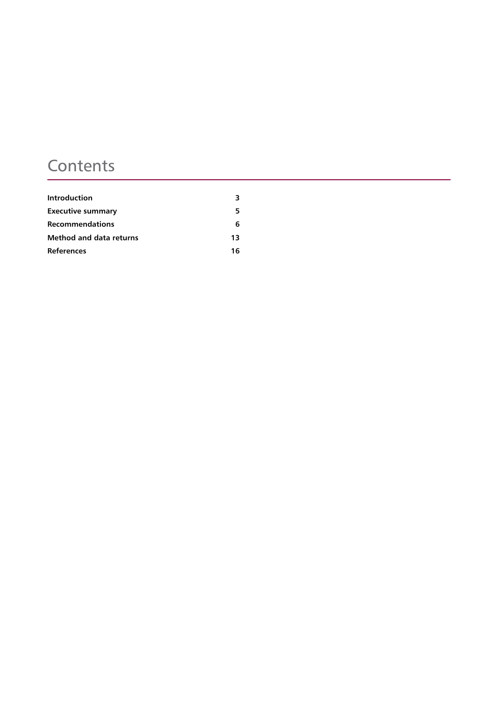## **Contents**

| Introduction             | 3  |
|--------------------------|----|
| <b>Executive summary</b> | 5  |
| <b>Recommendations</b>   | 6  |
| Method and data returns  | 13 |
| <b>References</b>        | 16 |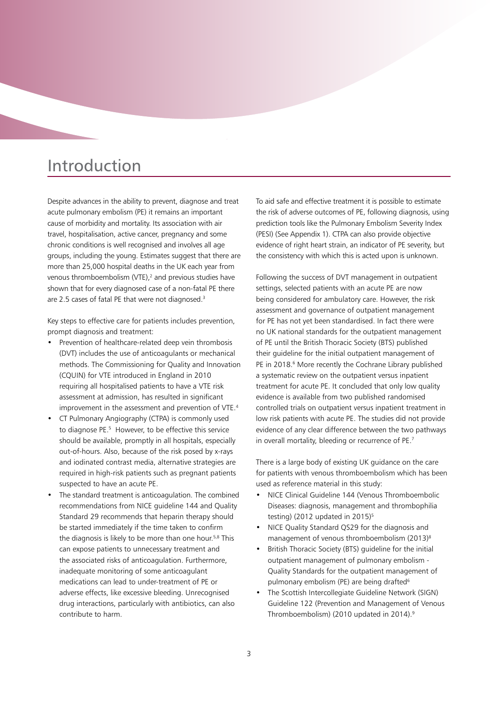## Introduction

Despite advances in the ability to prevent, diagnose and treat acute pulmonary embolism (PE) it remains an important cause of morbidity and mortality. Its association with air travel, hospitalisation, active cancer, pregnancy and some chronic conditions is well recognised and involves all age groups, including the young. Estimates suggest that there are more than 25,000 hospital deaths in the UK each year from venous thromboembolism (VTE), $<sup>2</sup>$  and previous studies have</sup> shown that for every diagnosed case of a non-fatal PE there are 2.5 cases of fatal PE that were not diagnosed.<sup>3</sup>

Key steps to effective care for patients includes prevention, prompt diagnosis and treatment:

- Prevention of healthcare-related deep vein thrombosis (DVT) includes the use of anticoagulants or mechanical methods. The Commissioning for Quality and Innovation (CQUIN) for VTE introduced in England in 2010 requiring all hospitalised patients to have a VTE risk assessment at admission, has resulted in significant improvement in the assessment and prevention of VTE.<sup>4</sup>
- CT Pulmonary Angiography (CTPA) is commonly used to diagnose PE.5 However, to be effective this service should be available, promptly in all hospitals, especially out-of-hours. Also, because of the risk posed by x-rays and iodinated contrast media, alternative strategies are required in high-risk patients such as pregnant patients suspected to have an acute PE.
- The standard treatment is anticoagulation. The combined recommendations from NICE guideline 144 and Quality Standard 29 recommends that heparin therapy should be started immediately if the time taken to confirm the diagnosis is likely to be more than one hour.5,8 This can expose patients to unnecessary treatment and the associated risks of anticoagulation. Furthermore, inadequate monitoring of some anticoagulant medications can lead to under-treatment of PE or adverse effects, like excessive bleeding. Unrecognised drug interactions, particularly with antibiotics, can also contribute to harm.

To aid safe and effective treatment it is possible to estimate the risk of adverse outcomes of PE, following diagnosis, using prediction tools like the Pulmonary Embolism Severity Index (PESI) (See Appendix 1). CTPA can also provide objective evidence of right heart strain, an indicator of PE severity, but the consistency with which this is acted upon is unknown.

Following the success of DVT management in outpatient settings, selected patients with an acute PE are now being considered for ambulatory care. However, the risk assessment and governance of outpatient management for PE has not yet been standardised. In fact there were no UK national standards for the outpatient management of PE until the British Thoracic Society (BTS) published their guideline for the initial outpatient management of PE in 2018.<sup>6</sup> More recently the Cochrane Library published a systematic review on the outpatient versus inpatient treatment for acute PE. It concluded that only low quality evidence is available from two published randomised controlled trials on outpatient versus inpatient treatment in low risk patients with acute PE. The studies did not provide evidence of any clear difference between the two pathways in overall mortality, bleeding or recurrence of PE.7

There is a large body of existing UK guidance on the care for patients with venous thromboembolism which has been used as reference material in this study:

- NICE Clinical Guideline 144 (Venous Thromboembolic Diseases: diagnosis, management and thrombophilia testing) (2012 updated in 2015)<sup>5</sup>
- NICE Quality Standard QS29 for the diagnosis and management of venous thromboembolism (2013)<sup>8</sup>
- British Thoracic Society (BTS) guideline for the initial outpatient management of pulmonary embolism - Quality Standards for the outpatient management of pulmonary embolism (PE) are being drafted<sup>6</sup>
- The Scottish Intercollegiate Guideline Network (SIGN) Guideline 122 (Prevention and Management of Venous Thromboembolism) (2010 updated in 2014).<sup>9</sup>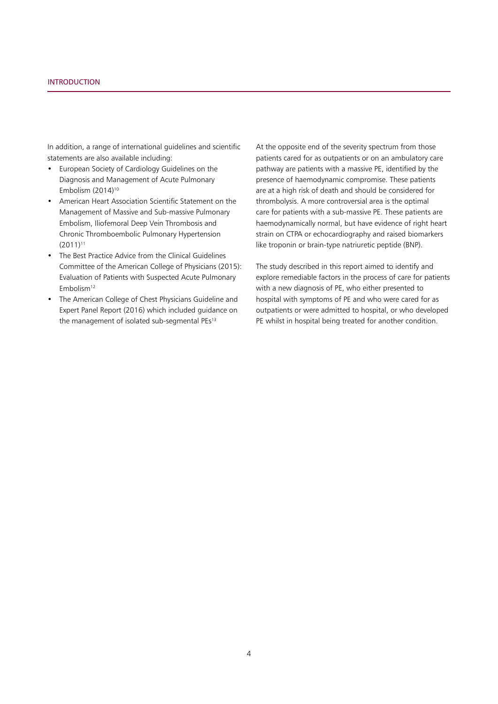In addition, a range of international guidelines and scientific statements are also available including:

- European Society of Cardiology Guidelines on the Diagnosis and Management of Acute Pulmonary Embolism (2014)10
- • American Heart Association Scientific Statement on the Management of Massive and Sub-massive Pulmonary Embolism, Iliofemoral Deep Vein Thrombosis and Chronic Thromboembolic Pulmonary Hypertension  $(2011)^{11}$
- The Best Practice Advice from the Clinical Guidelines Committee of the American College of Physicians (2015): Evaluation of Patients with Suspected Acute Pulmonary Embolism<sup>12</sup>
- The American College of Chest Physicians Guideline and Expert Panel Report (2016) which included guidance on the management of isolated sub-segmental PEs<sup>13</sup>

At the opposite end of the severity spectrum from those patients cared for as outpatients or on an ambulatory care pathway are patients with a massive PE, identified by the presence of haemodynamic compromise. These patients are at a high risk of death and should be considered for thrombolysis. A more controversial area is the optimal care for patients with a sub-massive PE. These patients are haemodynamically normal, but have evidence of right heart strain on CTPA or echocardiography and raised biomarkers like troponin or brain-type natriuretic peptide (BNP).

The study described in this report aimed to identify and explore remediable factors in the process of care for patients with a new diagnosis of PE, who either presented to hospital with symptoms of PE and who were cared for as outpatients or were admitted to hospital, or who developed PE whilst in hospital being treated for another condition.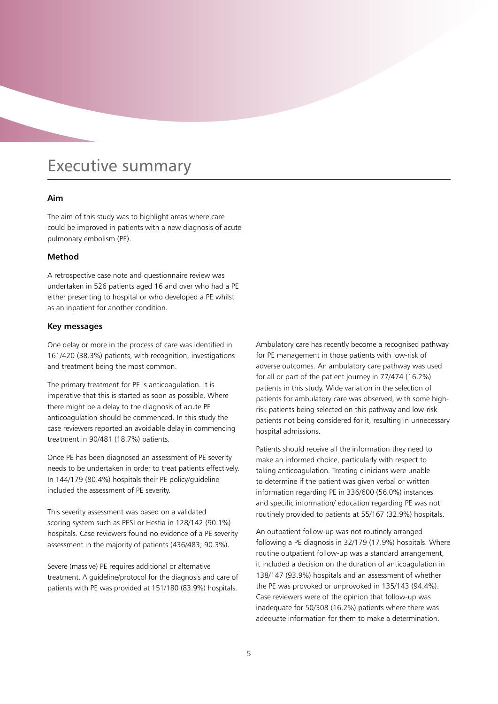## Executive summary

#### **Aim**

The aim of this study was to highlight areas where care could be improved in patients with a new diagnosis of acute pulmonary embolism (PE).

#### **Method**

A retrospective case note and questionnaire review was undertaken in 526 patients aged 16 and over who had a PE either presenting to hospital or who developed a PE whilst as an inpatient for another condition.

#### **Key messages**

One delay or more in the process of care was identified in 161/420 (38.3%) patients, with recognition, investigations and treatment being the most common.

The primary treatment for PE is anticoagulation. It is imperative that this is started as soon as possible. Where there might be a delay to the diagnosis of acute PE anticoagulation should be commenced. In this study the case reviewers reported an avoidable delay in commencing treatment in 90/481 (18.7%) patients.

Once PE has been diagnosed an assessment of PE severity needs to be undertaken in order to treat patients effectively. In 144/179 (80.4%) hospitals their PE policy/guideline included the assessment of PE severity.

This severity assessment was based on a validated scoring system such as PESI or Hestia in 128/142 (90.1%) hospitals. Case reviewers found no evidence of a PE severity assessment in the majority of patients (436/483; 90.3%).

Severe (massive) PE requires additional or alternative treatment. A guideline/protocol for the diagnosis and care of patients with PE was provided at 151/180 (83.9%) hospitals.

Ambulatory care has recently become a recognised pathway for PE management in those patients with low-risk of adverse outcomes. An ambulatory care pathway was used for all or part of the patient journey in 77/474 (16.2%) patients in this study. Wide variation in the selection of patients for ambulatory care was observed, with some highrisk patients being selected on this pathway and low-risk patients not being considered for it, resulting in unnecessary hospital admissions.

Patients should receive all the information they need to make an informed choice, particularly with respect to taking anticoagulation. Treating clinicians were unable to determine if the patient was given verbal or written information regarding PE in 336/600 (56.0%) instances and specific information/ education regarding PE was not routinely provided to patients at 55/167 (32.9%) hospitals.

An outpatient follow-up was not routinely arranged following a PE diagnosis in 32/179 (17.9%) hospitals. Where routine outpatient follow-up was a standard arrangement, it included a decision on the duration of anticoagulation in 138/147 (93.9%) hospitals and an assessment of whether the PE was provoked or unprovoked in 135/143 (94.4%). Case reviewers were of the opinion that follow-up was inadequate for 50/308 (16.2%) patients where there was adequate information for them to make a determination.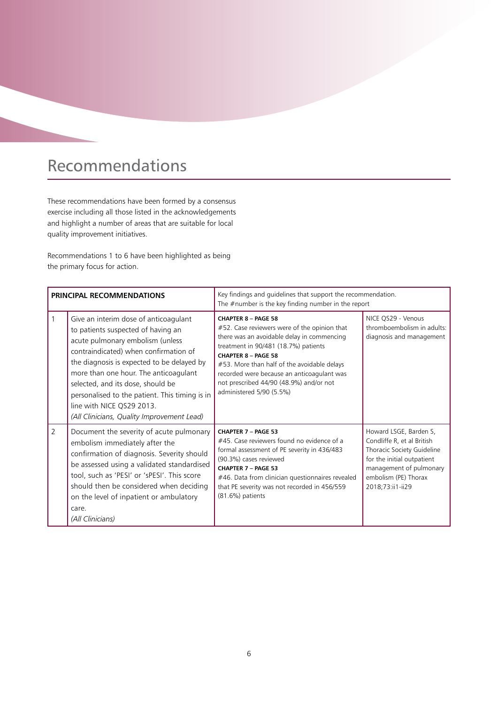## Recommendations

These recommendations have been formed by a consensus exercise including all those listed in the acknowledgements and highlight a number of areas that are suitable for local quality improvement initiatives.

Recommendations 1 to 6 have been highlighted as being the primary focus for action.

| PRINCIPAL RECOMMENDATIONS |                                                                                                                                                                                                                                                                                                                                                                                                                   | Key findings and guidelines that support the recommendation.<br>The $#$ number is the key finding number in the report                                                                                                                                                                                                                                             |                                                                                                                                                                                         |  |
|---------------------------|-------------------------------------------------------------------------------------------------------------------------------------------------------------------------------------------------------------------------------------------------------------------------------------------------------------------------------------------------------------------------------------------------------------------|--------------------------------------------------------------------------------------------------------------------------------------------------------------------------------------------------------------------------------------------------------------------------------------------------------------------------------------------------------------------|-----------------------------------------------------------------------------------------------------------------------------------------------------------------------------------------|--|
|                           | Give an interim dose of anticoagulant<br>to patients suspected of having an<br>acute pulmonary embolism (unless<br>contraindicated) when confirmation of<br>the diagnosis is expected to be delayed by<br>more than one hour. The anticoagulant<br>selected, and its dose, should be<br>personalised to the patient. This timing is in<br>line with NICE QS29 2013.<br>(All Clinicians, Quality Improvement Lead) | <b>CHAPTER 8 - PAGE 58</b><br>#52. Case reviewers were of the opinion that<br>there was an avoidable delay in commencing<br>treatment in 90/481 (18.7%) patients<br><b>CHAPTER 8 - PAGE 58</b><br>#53. More than half of the avoidable delays<br>recorded were because an anticoagulant was<br>not prescribed 44/90 (48.9%) and/or not<br>administered 5/90 (5.5%) | NICE QS29 - Venous<br>thromboembolism in adults:<br>diagnosis and management                                                                                                            |  |
| $\overline{2}$            | Document the severity of acute pulmonary<br>embolism immediately after the<br>confirmation of diagnosis. Severity should<br>be assessed using a validated standardised<br>tool, such as 'PESI' or 'sPESI'. This score<br>should then be considered when deciding<br>on the level of inpatient or ambulatory<br>care.<br>(All Clinicians)                                                                          | CHAPTER 7 - PAGE 53<br>#45. Case reviewers found no evidence of a<br>formal assessment of PE severity in 436/483<br>(90.3%) cases reviewed<br><b>CHAPTER 7 - PAGE 53</b><br>#46. Data from clinician questionnaires revealed<br>that PE severity was not recorded in 456/559<br>(81.6%) patients                                                                   | Howard LSGE, Barden S,<br>Condliffe R, et al British<br>Thoracic Society Guideline<br>for the initial outpatient<br>management of pulmonary<br>embolism (PE) Thorax<br>2018;73:ii1-ii29 |  |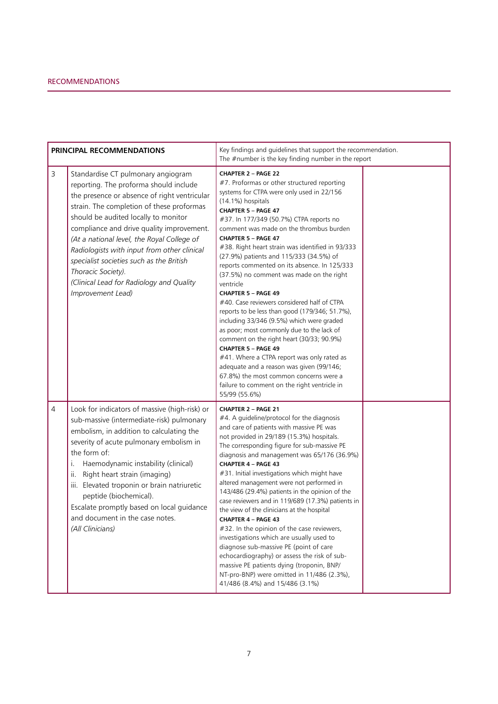| PRINCIPAL RECOMMENDATIONS |                                                                                                                                                                                                                                                                                                                                                                                                                                                                                                | Key findings and guidelines that support the recommendation.<br>The $#$ number is the key finding number in the report                                                                                                                                                                                                                                                                                                                                                                                                                                                                                                                                                                                                                                                                                                                                                                                                                                                                                  |  |
|---------------------------|------------------------------------------------------------------------------------------------------------------------------------------------------------------------------------------------------------------------------------------------------------------------------------------------------------------------------------------------------------------------------------------------------------------------------------------------------------------------------------------------|---------------------------------------------------------------------------------------------------------------------------------------------------------------------------------------------------------------------------------------------------------------------------------------------------------------------------------------------------------------------------------------------------------------------------------------------------------------------------------------------------------------------------------------------------------------------------------------------------------------------------------------------------------------------------------------------------------------------------------------------------------------------------------------------------------------------------------------------------------------------------------------------------------------------------------------------------------------------------------------------------------|--|
| $\mathsf{3}$              | Standardise CT pulmonary angiogram<br>reporting. The proforma should include<br>the presence or absence of right ventricular<br>strain. The completion of these proformas<br>should be audited locally to monitor<br>compliance and drive quality improvement.<br>(At a national level, the Royal College of<br>Radiologists with input from other clinical<br>specialist societies such as the British<br>Thoracic Society).<br>(Clinical Lead for Radiology and Quality<br>Improvement Lead) | <b>CHAPTER 2 - PAGE 22</b><br>#7. Proformas or other structured reporting<br>systems for CTPA were only used in 22/156<br>(14.1%) hospitals<br>CHAPTER 5 - PAGE 47<br>#37. In 177/349 (50.7%) CTPA reports no<br>comment was made on the thrombus burden<br><b>CHAPTER 5 - PAGE 47</b><br>#38. Right heart strain was identified in 93/333<br>(27.9%) patients and 115/333 (34.5%) of<br>reports commented on its absence. In 125/333<br>(37.5%) no comment was made on the right<br>ventricle<br><b>CHAPTER 5 - PAGE 49</b><br>#40. Case reviewers considered half of CTPA<br>reports to be less than good (179/346; 51.7%),<br>including 33/346 (9.5%) which were graded<br>as poor; most commonly due to the lack of<br>comment on the right heart (30/33; 90.9%)<br><b>CHAPTER 5 - PAGE 49</b><br>#41. Where a CTPA report was only rated as<br>adequate and a reason was given (99/146;<br>67.8%) the most common concerns were a<br>failure to comment on the right ventricle in<br>55/99 (55.6%) |  |
| $\overline{4}$            | Look for indicators of massive (high-risk) or<br>sub-massive (intermediate-risk) pulmonary<br>embolism, in addition to calculating the<br>severity of acute pulmonary embolism in<br>the form of:<br>Haemodynamic instability (clinical)<br>i.<br>Right heart strain (imaging)<br>ii.<br>iii. Elevated troponin or brain natriuretic<br>peptide (biochemical).<br>Escalate promptly based on local guidance<br>and document in the case notes.<br>(All Clinicians)                             | <b>CHAPTER 2 - PAGE 21</b><br>#4. A guideline/protocol for the diagnosis<br>and care of patients with massive PE was<br>not provided in 29/189 (15.3%) hospitals.<br>The corresponding figure for sub-massive PE<br>diagnosis and management was 65/176 (36.9%)<br>CHAPTER 4 - PAGE 43<br>#31. Initial investigations which might have<br>altered management were not performed in<br>143/486 (29.4%) patients in the opinion of the<br>case reviewers and in 119/689 (17.3%) patients in<br>the view of the clinicians at the hospital<br><b>CHAPTER 4 - PAGE 43</b><br>#32. In the opinion of the case reviewers,<br>investigations which are usually used to<br>diagnose sub-massive PE (point of care<br>echocardiography) or assess the risk of sub-<br>massive PE patients dying (troponin, BNP/<br>NT-pro-BNP) were omitted in 11/486 (2.3%),<br>41/486 (8.4%) and 15/486 (3.1%)                                                                                                                 |  |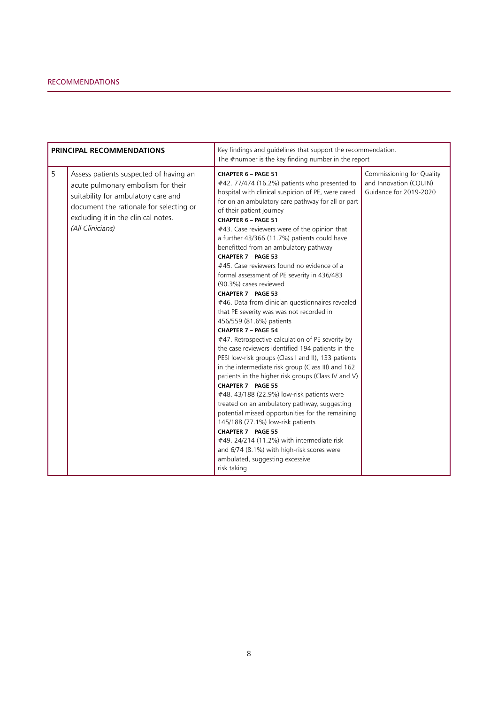| <b>PRINCIPAL RECOMMENDATIONS</b> |                                                                                                                                                                                                                           | Key findings and guidelines that support the recommendation.<br>The $#$ number is the key finding number in the report                                                                                                                                                                                                                                                                                                                                                                                                                                                                                                                                                                                                                                                                                                                                                                                                                                                                                                                                                                                                                                                                                                                                                                                                                                                    |                                                                               |  |
|----------------------------------|---------------------------------------------------------------------------------------------------------------------------------------------------------------------------------------------------------------------------|---------------------------------------------------------------------------------------------------------------------------------------------------------------------------------------------------------------------------------------------------------------------------------------------------------------------------------------------------------------------------------------------------------------------------------------------------------------------------------------------------------------------------------------------------------------------------------------------------------------------------------------------------------------------------------------------------------------------------------------------------------------------------------------------------------------------------------------------------------------------------------------------------------------------------------------------------------------------------------------------------------------------------------------------------------------------------------------------------------------------------------------------------------------------------------------------------------------------------------------------------------------------------------------------------------------------------------------------------------------------------|-------------------------------------------------------------------------------|--|
| 5                                | Assess patients suspected of having an<br>acute pulmonary embolism for their<br>suitability for ambulatory care and<br>document the rationale for selecting or<br>excluding it in the clinical notes.<br>(All Clinicians) | <b>CHAPTER 6 - PAGE 51</b><br>#42.77/474 (16.2%) patients who presented to<br>hospital with clinical suspicion of PE, were cared<br>for on an ambulatory care pathway for all or part<br>of their patient journey<br>CHAPTER 6 - PAGE 51<br>#43. Case reviewers were of the opinion that<br>a further 43/366 (11.7%) patients could have<br>benefitted from an ambulatory pathway<br>CHAPTER 7 - PAGE 53<br>#45. Case reviewers found no evidence of a<br>formal assessment of PE severity in 436/483<br>(90.3%) cases reviewed<br>CHAPTER 7 - PAGE 53<br>#46. Data from clinician questionnaires revealed<br>that PE severity was was not recorded in<br>456/559 (81.6%) patients<br>CHAPTER 7 - PAGE 54<br>#47. Retrospective calculation of PE severity by<br>the case reviewers identified 194 patients in the<br>PESI low-risk groups (Class I and II), 133 patients<br>in the intermediate risk group (Class III) and 162<br>patients in the higher risk groups (Class IV and V)<br>CHAPTER 7 - PAGE 55<br>#48. 43/188 (22.9%) low-risk patients were<br>treated on an ambulatory pathway, suggesting<br>potential missed opportunities for the remaining<br>145/188 (77.1%) low-risk patients<br>CHAPTER 7 - PAGE 55<br>#49. 24/214 (11.2%) with intermediate risk<br>and 6/74 (8.1%) with high-risk scores were<br>ambulated, suggesting excessive<br>risk taking | Commissioning for Quality<br>and Innovation (CQUIN)<br>Guidance for 2019-2020 |  |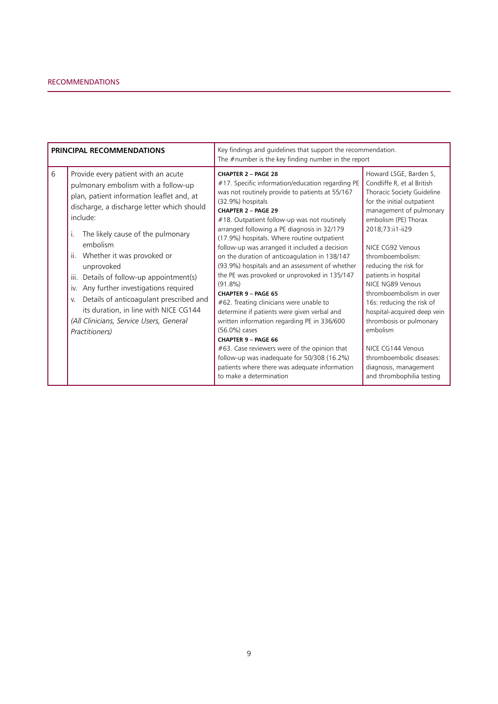| PRINCIPAL RECOMMENDATIONS |                                                                                                                                                                                                                                                                                                                                                                                                                                                                                                                                           | Key findings and guidelines that support the recommendation.<br>The $#$ number is the key finding number in the report                                                                                                                                                                                                                                                                                                                                                                                                                                                                                                                                                                                                                                                                                                                                                                                                                        |                                                                                                                                                                                                                                                                                                                                                                                                                                                                                                                                           |
|---------------------------|-------------------------------------------------------------------------------------------------------------------------------------------------------------------------------------------------------------------------------------------------------------------------------------------------------------------------------------------------------------------------------------------------------------------------------------------------------------------------------------------------------------------------------------------|-----------------------------------------------------------------------------------------------------------------------------------------------------------------------------------------------------------------------------------------------------------------------------------------------------------------------------------------------------------------------------------------------------------------------------------------------------------------------------------------------------------------------------------------------------------------------------------------------------------------------------------------------------------------------------------------------------------------------------------------------------------------------------------------------------------------------------------------------------------------------------------------------------------------------------------------------|-------------------------------------------------------------------------------------------------------------------------------------------------------------------------------------------------------------------------------------------------------------------------------------------------------------------------------------------------------------------------------------------------------------------------------------------------------------------------------------------------------------------------------------------|
| 6                         | Provide every patient with an acute<br>pulmonary embolism with a follow-up<br>plan, patient information leaflet and, at<br>discharge, a discharge letter which should<br>include:<br>The likely cause of the pulmonary<br>embolism<br>Whether it was provoked or<br>ii.<br>unprovoked<br>Details of follow-up appointment(s)<br>iii.<br>Any further investigations required<br>İV.<br>Details of anticoagulant prescribed and<br>V.<br>its duration, in line with NICE CG144<br>(All Clinicians, Service Users, General<br>Practitioners) | CHAPTER 2 - PAGE 28<br>#17. Specific information/education regarding PE<br>was not routinely provide to patients at 55/167<br>(32.9%) hospitals<br><b>CHAPTER 2 - PAGE 29</b><br>#18. Outpatient follow-up was not routinely<br>arranged following a PE diagnosis in 32/179<br>(17.9%) hospitals. Where routine outpatient<br>follow-up was arranged it included a decision<br>on the duration of anticoagulation in 138/147<br>(93.9%) hospitals and an assessment of whether<br>the PE was provoked or unprovoked in 135/147<br>$(91.8\%)$<br><b>CHAPTER 9 - PAGE 65</b><br>#62. Treating clinicians were unable to<br>determine if patients were given verbal and<br>written information regarding PE in 336/600<br>(56.0%) cases<br><b>CHAPTER 9 - PAGE 66</b><br>#63. Case reviewers were of the opinion that<br>follow-up was inadequate for 50/308 (16.2%)<br>patients where there was adequate information<br>to make a determination | Howard LSGE, Barden S,<br>Condliffe R, et al British<br>Thoracic Society Guideline<br>for the initial outpatient<br>management of pulmonary<br>embolism (PE) Thorax<br>2018;73:ii1-ii29<br>NICE CG92 Venous<br>thromboembolism:<br>reducing the risk for<br>patients in hospital<br>NICE NG89 Venous<br>thromboembolism in over<br>16s: reducing the risk of<br>hospital-acquired deep vein<br>thrombosis or pulmonary<br>embolism<br>NICE CG144 Venous<br>thromboembolic diseases:<br>diagnosis, management<br>and thrombophilia testing |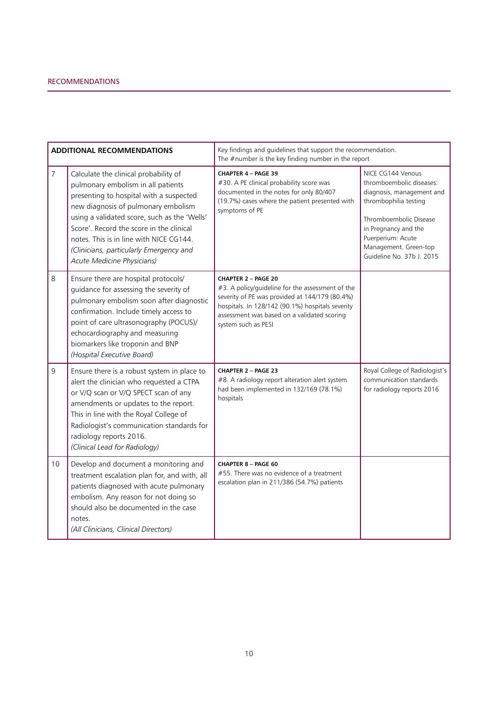| <b>ADDITIONAL RECOMMENDATIONS</b> |                                                                                                                                                                                                                                                                                                                                                                               | Key findings and guidelines that support the recommendation.<br>The $#$ number is the key finding number in the report                                                                                                                                     |                                                                                                                                                                                                                                  |  |
|-----------------------------------|-------------------------------------------------------------------------------------------------------------------------------------------------------------------------------------------------------------------------------------------------------------------------------------------------------------------------------------------------------------------------------|------------------------------------------------------------------------------------------------------------------------------------------------------------------------------------------------------------------------------------------------------------|----------------------------------------------------------------------------------------------------------------------------------------------------------------------------------------------------------------------------------|--|
| $\overline{7}$                    | Calculate the clinical probability of<br>pulmonary embolism in all patients<br>presenting to hospital with a suspected<br>new diagnosis of pulmonary embolism<br>using a validated score, such as the 'Wells'<br>Score'. Record the score in the clinical<br>notes. This is in line with NICE CG144.<br>(Clinicians, particularly Emergency and<br>Acute Medicine Physicians) | CHAPTER 4 - PAGE 39<br>#30. A PE clinical probability score was<br>documented in the notes for only 80/407<br>(19.7%) cases where the patient presented with<br>symptoms of PE                                                                             | NICE CG144 Venous<br>thromboembolic diseases:<br>diagnosis, management and<br>thrombophilia testing<br>Thromboembolic Disease<br>in Pregnancy and the<br>Puerperium: Acute<br>Management. Green-top<br>Guideline No. 37b J. 2015 |  |
| 8                                 | Ensure there are hospital protocols/<br>guidance for assessing the severity of<br>pulmonary embolism soon after diagnostic<br>confirmation. Include timely access to<br>point of care ultrasonography (POCUS)/<br>echocardiography and measuring<br>biomarkers like troponin and BNP<br>(Hospital Executive Board)                                                            | <b>CHAPTER 2 - PAGE 20</b><br>#3. A policy/guideline for the assessment of the<br>severity of PE was provided at 144/179 (80.4%)<br>hospitals. In 128/142 (90.1%) hospitals severity<br>assessment was based on a validated scoring<br>system such as PESI |                                                                                                                                                                                                                                  |  |
| 9                                 | Ensure there is a robust system in place to<br>alert the clinician who requested a CTPA<br>or V/Q scan or V/Q SPECT scan of any<br>amendments or updates to the report.<br>This in line with the Royal College of<br>Radiologist's communication standards for<br>radiology reports 2016.<br>(Clinical Lead for Radiology)                                                    | <b>CHAPTER 2 - PAGE 23</b><br>#8. A radiology report alteration alert system<br>had been implemented in 132/169 (78.1%)<br>hospitals                                                                                                                       | Royal College of Radiologist's<br>communication standards<br>for radiology reports 2016                                                                                                                                          |  |
| 10                                | Develop and document a monitoring and<br>treatment escalation plan for, and with, all<br>patients diagnosed with acute pulmonary<br>embolism. Any reason for not doing so<br>should also be documented in the case<br>notes.<br>(All Clinicians, Clinical Directors)                                                                                                          | <b>CHAPTER 8 - PAGE 60</b><br>#55. There was no evidence of a treatment<br>escalation plan in 211/386 (54.7%) patients                                                                                                                                     |                                                                                                                                                                                                                                  |  |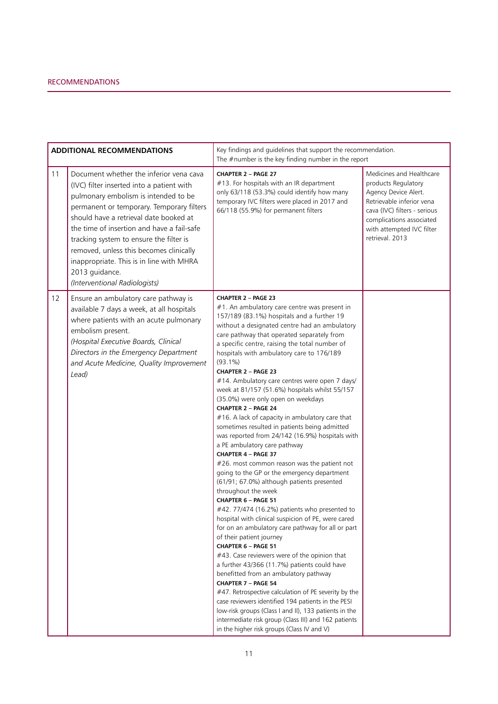| <b>ADDITIONAL RECOMMENDATIONS</b> |                                                                                                                                                                                                                                                                                                                                                                                                                                                        | Key findings and guidelines that support the recommendation.<br>The $#$ number is the key finding number in the report                                                                                                                                                                                                                                                                                                                                                                                                                                                                                                                                                                                                                                                                                                                                                                                                                                                                                                                                                                                                                                                                                                                                                                                                                                                                                                                                                                                                                                                                          |                                                                                                                                                                                                                  |  |
|-----------------------------------|--------------------------------------------------------------------------------------------------------------------------------------------------------------------------------------------------------------------------------------------------------------------------------------------------------------------------------------------------------------------------------------------------------------------------------------------------------|-------------------------------------------------------------------------------------------------------------------------------------------------------------------------------------------------------------------------------------------------------------------------------------------------------------------------------------------------------------------------------------------------------------------------------------------------------------------------------------------------------------------------------------------------------------------------------------------------------------------------------------------------------------------------------------------------------------------------------------------------------------------------------------------------------------------------------------------------------------------------------------------------------------------------------------------------------------------------------------------------------------------------------------------------------------------------------------------------------------------------------------------------------------------------------------------------------------------------------------------------------------------------------------------------------------------------------------------------------------------------------------------------------------------------------------------------------------------------------------------------------------------------------------------------------------------------------------------------|------------------------------------------------------------------------------------------------------------------------------------------------------------------------------------------------------------------|--|
| 11                                | Document whether the inferior vena cava<br>(IVC) filter inserted into a patient with<br>pulmonary embolism is intended to be<br>permanent or temporary. Temporary filters<br>should have a retrieval date booked at<br>the time of insertion and have a fail-safe<br>tracking system to ensure the filter is<br>removed, unless this becomes clinically<br>inappropriate. This is in line with MHRA<br>2013 guidance.<br>(Interventional Radiologists) | <b>CHAPTER 2 - PAGE 27</b><br>#13. For hospitals with an IR department<br>only 63/118 (53.3%) could identify how many<br>temporary IVC filters were placed in 2017 and<br>66/118 (55.9%) for permanent filters                                                                                                                                                                                                                                                                                                                                                                                                                                                                                                                                                                                                                                                                                                                                                                                                                                                                                                                                                                                                                                                                                                                                                                                                                                                                                                                                                                                  | Medicines and Healthcare<br>products Regulatory<br>Agency Device Alert.<br>Retrievable inferior vena<br>cava (IVC) filters - serious<br>complications associated<br>with attempted IVC filter<br>retrieval. 2013 |  |
| 12                                | Ensure an ambulatory care pathway is<br>available 7 days a week, at all hospitals<br>where patients with an acute pulmonary<br>embolism present.<br>(Hospital Executive Boards, Clinical<br>Directors in the Emergency Department<br>and Acute Medicine, Quality Improvement<br>Lead)                                                                                                                                                                  | CHAPTER 2 - PAGE 23<br>#1. An ambulatory care centre was present in<br>157/189 (83.1%) hospitals and a further 19<br>without a designated centre had an ambulatory<br>care pathway that operated separately from<br>a specific centre, raising the total number of<br>hospitals with ambulatory care to 176/189<br>$(93.1\%)$<br><b>CHAPTER 2 - PAGE 23</b><br>#14. Ambulatory care centres were open 7 days/<br>week at 81/157 (51.6%) hospitals whilst 55/157<br>(35.0%) were only open on weekdays<br>CHAPTER 2 - PAGE 24<br>#16. A lack of capacity in ambulatory care that<br>sometimes resulted in patients being admitted<br>was reported from 24/142 (16.9%) hospitals with<br>a PE ambulatory care pathway<br>CHAPTER 4 - PAGE 37<br>#26. most common reason was the patient not<br>going to the GP or the emergency department<br>(61/91; 67.0%) although patients presented<br>throughout the week<br>CHAPTER 6 - PAGE 51<br>#42.77/474 (16.2%) patients who presented to<br>hospital with clinical suspicion of PE, were cared<br>for on an ambulatory care pathway for all or part<br>of their patient journey<br>CHAPTER 6 - PAGE 51<br>#43. Case reviewers were of the opinion that<br>a further 43/366 (11.7%) patients could have<br>benefitted from an ambulatory pathway<br>CHAPTER 7 - PAGE 54<br>#47. Retrospective calculation of PE severity by the<br>case reviewers identified 194 patients in the PESI<br>low-risk groups (Class I and II), 133 patients in the<br>intermediate risk group (Class III) and 162 patients<br>in the higher risk groups (Class IV and V) |                                                                                                                                                                                                                  |  |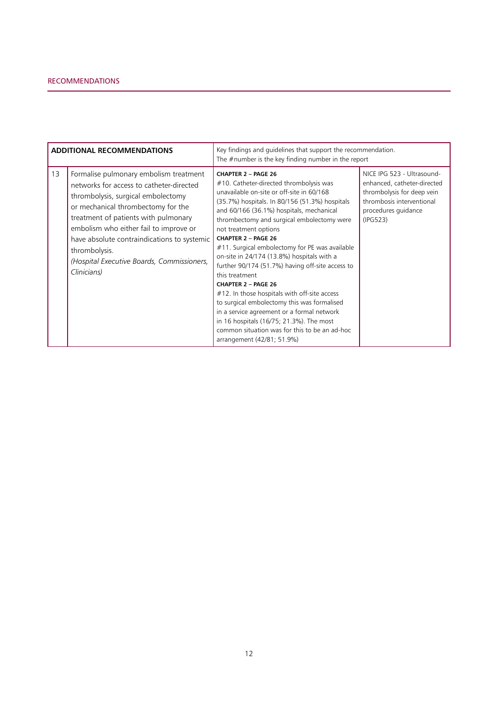| <b>ADDITIONAL RECOMMENDATIONS</b> |                                                                                                                                                                                                                                                                                                                                                                               | Key findings and guidelines that support the recommendation.<br>The $#$ number is the key finding number in the report                                                                                                                                                                                                                                                                                                                                                                                                                                                                                                                                                                                                                                                                            |                                                                                                                                                         |
|-----------------------------------|-------------------------------------------------------------------------------------------------------------------------------------------------------------------------------------------------------------------------------------------------------------------------------------------------------------------------------------------------------------------------------|---------------------------------------------------------------------------------------------------------------------------------------------------------------------------------------------------------------------------------------------------------------------------------------------------------------------------------------------------------------------------------------------------------------------------------------------------------------------------------------------------------------------------------------------------------------------------------------------------------------------------------------------------------------------------------------------------------------------------------------------------------------------------------------------------|---------------------------------------------------------------------------------------------------------------------------------------------------------|
| 13                                | Formalise pulmonary embolism treatment<br>networks for access to catheter-directed<br>thrombolysis, surgical embolectomy<br>or mechanical thrombectomy for the<br>treatment of patients with pulmonary<br>embolism who either fail to improve or<br>have absolute contraindications to systemic<br>thrombolysis.<br>(Hospital Executive Boards, Commissioners,<br>Clinicians) | <b>CHAPTER 2 - PAGE 26</b><br>#10. Catheter-directed thrombolysis was<br>unavailable on-site or off-site in 60/168<br>(35.7%) hospitals. In 80/156 (51.3%) hospitals<br>and 60/166 (36.1%) hospitals, mechanical<br>thrombectomy and surgical embolectomy were<br>not treatment options<br><b>CHAPTER 2 - PAGE 26</b><br>#11. Surgical embolectomy for PE was available<br>on-site in 24/174 (13.8%) hospitals with a<br>further 90/174 (51.7%) having off-site access to<br>this treatment<br><b>CHAPTER 2 - PAGE 26</b><br>#12. In those hospitals with off-site access<br>to surgical embolectomy this was formalised<br>in a service agreement or a formal network<br>in 16 hospitals (16/75; 21.3%). The most<br>common situation was for this to be an ad-hoc<br>arrangement (42/81; 51.9%) | NICE IPG 523 - Ultrasound-<br>enhanced, catheter-directed<br>thrombolysis for deep vein<br>thrombosis interventional<br>procedures guidance<br>(IPG523) |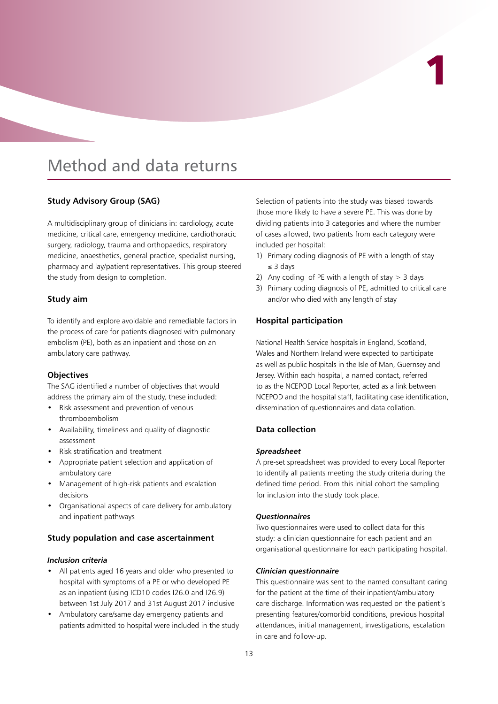# 1

## Method and data returns

#### **Study Advisory Group (SAG)**

A multidisciplinary group of clinicians in: cardiology, acute medicine, critical care, emergency medicine, cardiothoracic surgery, radiology, trauma and orthopaedics, respiratory medicine, anaesthetics, general practice, specialist nursing, pharmacy and lay/patient representatives. This group steered the study from design to completion.

#### **Study aim**

To identify and explore avoidable and remediable factors in the process of care for patients diagnosed with pulmonary embolism (PE), both as an inpatient and those on an ambulatory care pathway.

#### **Objectives**

The SAG identified a number of objectives that would address the primary aim of the study, these included:

- Risk assessment and prevention of venous thromboembolism
- • Availability, timeliness and quality of diagnostic assessment
- Risk stratification and treatment
- • Appropriate patient selection and application of ambulatory care
- Management of high-risk patients and escalation decisions
- Organisational aspects of care delivery for ambulatory and inpatient pathways

#### **Study population and case ascertainment**

#### *Inclusion criteria*

- All patients aged 16 years and older who presented to hospital with symptoms of a PE or who developed PE as an inpatient (using ICD10 codes I26.0 and I26.9) between 1st July 2017 and 31st August 2017 inclusive
- Ambulatory care/same day emergency patients and patients admitted to hospital were included in the study

Selection of patients into the study was biased towards those more likely to have a severe PE. This was done by dividing patients into 3 categories and where the number of cases allowed, two patients from each category were included per hospital:

- 1) Primary coding diagnosis of PE with a length of stay ≤ 3 days
- 2) Any coding of PE with a length of stay  $>$  3 days
- 3) Primary coding diagnosis of PE, admitted to critical care and/or who died with any length of stay

#### **Hospital participation**

National Health Service hospitals in England, Scotland, Wales and Northern Ireland were expected to participate as well as public hospitals in the Isle of Man, Guernsey and Jersey. Within each hospital, a named contact, referred to as the NCEPOD Local Reporter, acted as a link between NCEPOD and the hospital staff, facilitating case identification, dissemination of questionnaires and data collation.

#### **Data collection**

#### *Spreadsheet*

A pre-set spreadsheet was provided to every Local Reporter to identify all patients meeting the study criteria during the defined time period. From this initial cohort the sampling for inclusion into the study took place.

#### *Questionnaires*

Two questionnaires were used to collect data for this study: a clinician questionnaire for each patient and an organisational questionnaire for each participating hospital.

#### *Clinician questionnaire*

This questionnaire was sent to the named consultant caring for the patient at the time of their inpatient/ambulatory care discharge. Information was requested on the patient's presenting features/comorbid conditions, previous hospital attendances, initial management, investigations, escalation in care and follow-up.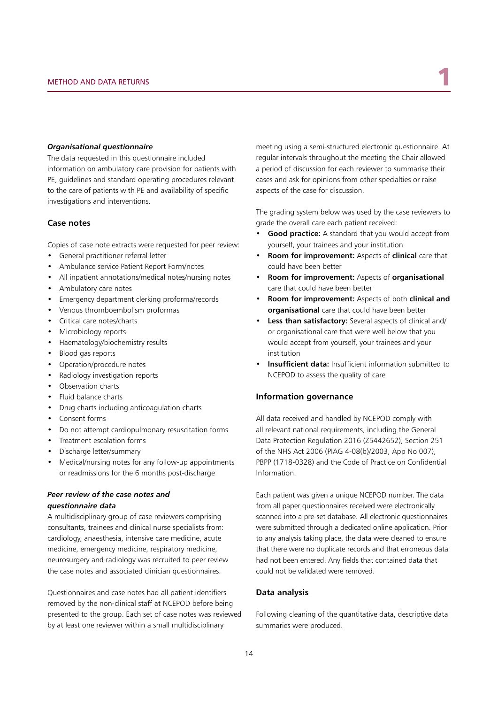#### *Organisational questionnaire*

The data requested in this questionnaire included information on ambulatory care provision for patients with PE, guidelines and standard operating procedures relevant to the care of patients with PE and availability of specific investigations and interventions.

#### **Case notes**

Copies of case note extracts were requested for peer review:

- • General practitioner referral letter
- Ambulance service Patient Report Form/notes
- All inpatient annotations/medical notes/nursing notes
- • Ambulatory care notes
- Emergency department clerking proforma/records
- Venous thromboembolism proformas
- • Critical care notes/charts
- Microbiology reports
- Haematology/biochemistry results
- • Blood gas reports
- • Operation/procedure notes
- Radiology investigation reports
- • Observation charts
- Fluid balance charts
- • Drug charts including anticoagulation charts
- • Consent forms
- • Do not attempt cardiopulmonary resuscitation forms
- • Treatment escalation forms
- • Discharge letter/summary
- Medical/nursing notes for any follow-up appointments or readmissions for the 6 months post-discharge

#### *Peer review of the case notes and questionnaire data*

A multidisciplinary group of case reviewers comprising consultants, trainees and clinical nurse specialists from: cardiology, anaesthesia, intensive care medicine, acute medicine, emergency medicine, respiratory medicine, neurosurgery and radiology was recruited to peer review the case notes and associated clinician questionnaires.

Questionnaires and case notes had all patient identifiers removed by the non-clinical staff at NCEPOD before being presented to the group. Each set of case notes was reviewed by at least one reviewer within a small multidisciplinary

meeting using a semi-structured electronic questionnaire. At regular intervals throughout the meeting the Chair allowed a period of discussion for each reviewer to summarise their cases and ask for opinions from other specialties or raise aspects of the case for discussion.

The grading system below was used by the case reviewers to grade the overall care each patient received:

- **Good practice:** A standard that you would accept from yourself, your trainees and your institution
- **Room for improvement:** Aspects of **clinical** care that could have been better
- **Room for improvement:** Aspects of **organisational** care that could have been better
- **Room for improvement:** Aspects of both **clinical and organisational** care that could have been better
- Less than satisfactory: Several aspects of clinical and/ or organisational care that were well below that you would accept from yourself, your trainees and your institution
- • **Insufficient data:** Insufficient information submitted to NCEPOD to assess the quality of care

#### **Information governance**

All data received and handled by NCEPOD comply with all relevant national requirements, including the General Data Protection Regulation 2016 (Z5442652), Section 251 of the NHS Act 2006 (PIAG 4-08(b)/2003, App No 007), PBPP (1718-0328) and the Code of Practice on Confidential Information.

Each patient was given a unique NCEPOD number. The data from all paper questionnaires received were electronically scanned into a pre-set database. All electronic questionnaires were submitted through a dedicated online application. Prior to any analysis taking place, the data were cleaned to ensure that there were no duplicate records and that erroneous data had not been entered. Any fields that contained data that could not be validated were removed.

#### **Data analysis**

Following cleaning of the quantitative data, descriptive data summaries were produced.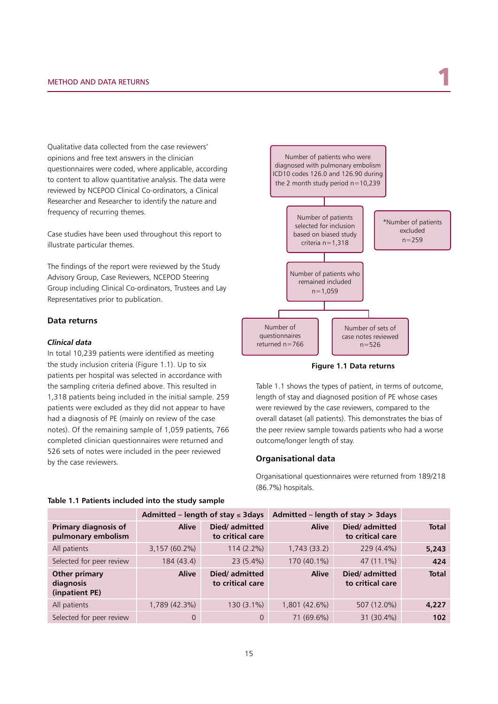Qualitative data collected from the case reviewers' opinions and free text answers in the clinician questionnaires were coded, where applicable, according to content to allow quantitative analysis. The data were reviewed by NCEPOD Clinical Co-ordinators, a Clinical Researcher and Researcher to identify the nature and frequency of recurring themes.

Case studies have been used throughout this report to illustrate particular themes.

The findings of the report were reviewed by the Study Advisory Group, Case Reviewers, NCEPOD Steering Group including Clinical Co-ordinators, Trustees and Lay Representatives prior to publication.

#### **Data returns**

#### *Clinical data*

In total 10,239 patients were identified as meeting the study inclusion criteria (Figure 1.1). Up to six patients per hospital was selected in accordance with the sampling criteria defined above. This resulted in 1,318 patients being included in the initial sample. 259 patients were excluded as they did not appear to have had a diagnosis of PE (mainly on review of the case notes). Of the remaining sample of 1,059 patients, 766 completed clinician questionnaires were returned and 526 sets of notes were included in the peer reviewed by the case reviewers.



**Figure 1.1 Data returns**

Table 1.1 shows the types of patient, in terms of outcome, length of stay and diagnosed position of PE whose cases were reviewed by the case reviewers, compared to the overall dataset (all patients). This demonstrates the bias of the peer review sample towards patients who had a worse outcome/longer length of stay.

#### **Organisational data**

Organisational questionnaires were returned from 189/218 (86.7%) hospitals.

|                                              | Admitted – length of stay $\leq$ 3 days |                                   | Admitted – length of stay $>$ 3days |                                   |              |
|----------------------------------------------|-----------------------------------------|-----------------------------------|-------------------------------------|-----------------------------------|--------------|
| Primary diagnosis of<br>pulmonary embolism   | <b>Alive</b>                            | Died/admitted<br>to critical care | <b>Alive</b>                        | Died/admitted<br>to critical care | <b>Total</b> |
| All patients                                 | 3,157 (60.2%)                           | $114(2.2\%)$                      | 1,743 (33.2)                        | 229 (4.4%)                        | 5,243        |
| Selected for peer review                     | 184 (43.4)                              | $23(5.4\%)$                       | 170 (40.1%)                         | 47 (11.1%)                        | 424          |
| Other primary<br>diagnosis<br>(inpatient PE) | <b>Alive</b>                            | Died/admitted<br>to critical care | <b>Alive</b>                        | Died/admitted<br>to critical care | <b>Total</b> |
| All patients                                 | 1,789 (42.3%)                           | 130 (3.1%)                        | 1,801 (42.6%)                       | 507 (12.0%)                       | 4,227        |
| Selected for peer review                     | 0                                       | $\Omega$                          | 71 (69.6%)                          | 31 (30.4%)                        | 102          |

#### **Table 1.1 Patients included into the study sample**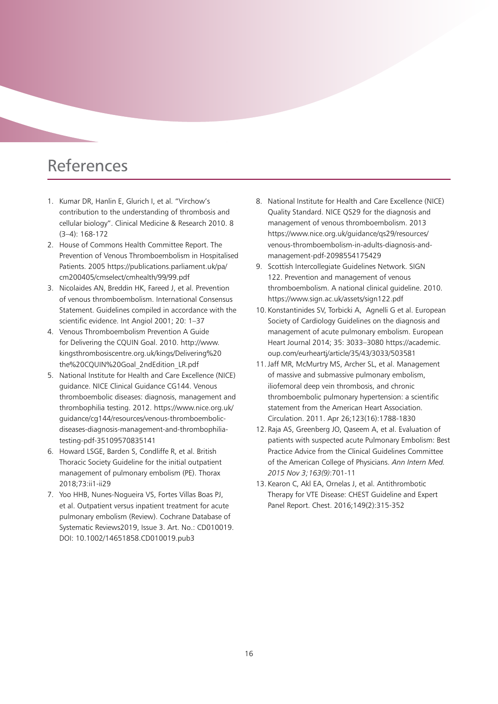## References

- 1. Kumar DR, Hanlin E, Glurich I, et al. "Virchow's contribution to the understanding of thrombosis and cellular biology". Clinical Medicine & Research 2010. 8 (3–4): 168-172
- 2. House of Commons Health Committee Report. The Prevention of Venous Thromboembolism in Hospitalised Patients. 2005 https://publications.parliament.uk/pa/ cm200405/cmselect/cmhealth/99/99.pdf
- 3. Nicolaides AN, Breddin HK, Fareed J, et al. Prevention of venous thromboembolism. International Consensus Statement. Guidelines compiled in accordance with the scientific evidence. Int Angiol 2001; 20: 1–37
- 4. Venous Thromboembolism Prevention A Guide for Delivering the CQUIN Goal. 2010. http://www. kingsthrombosiscentre.org.uk/kings/Delivering%20 the%20CQUIN%20Goal\_2ndEdition\_LR.pdf
- 5. National Institute for Health and Care Excellence (NICE) guidance. NICE Clinical Guidance CG144. Venous thromboembolic diseases: diagnosis, management and thrombophilia testing. 2012. https://www.nice.org.uk/ guidance/cg144/resources/venous-thromboembolicdiseases-diagnosis-management-and-thrombophiliatesting-pdf-35109570835141
- 6. Howard LSGE, Barden S, Condliffe R, et al. British Thoracic Society Guideline for the initial outpatient management of pulmonary embolism (PE). Thorax 2018;73:ii1-ii29
- 7. Yoo HHB, Nunes-Nogueira VS, Fortes Villas Boas PJ, et al. Outpatient versus inpatient treatment for acute pulmonary embolism (Review). Cochrane Database of Systematic Reviews2019, Issue 3. Art. No.: CD010019. DOI: 10.1002/14651858.CD010019.pub3
- 8. National Institute for Health and Care Excellence (NICE) Quality Standard. NICE QS29 for the diagnosis and management of venous thromboembolism. 2013 https://www.nice.org.uk/guidance/qs29/resources/ venous-thromboembolism-in-adults-diagnosis-andmanagement-pdf-2098554175429
- 9. Scottish Intercollegiate Guidelines Network. SIGN 122. Prevention and management of venous thromboembolism. A national clinical guideline. 2010. https://www.sign.ac.uk/assets/sign122.pdf
- 10. Konstantinides SV, Torbicki A, Agnelli G et al. European Society of Cardiology Guidelines on the diagnosis and management of acute pulmonary embolism. European Heart Journal 2014; 35: 3033–3080 https://academic. oup.com/eurheartj/article/35/43/3033/503581
- 11. Jaff MR, McMurtry MS, Archer SL, et al. Management of massive and submassive pulmonary embolism, iliofemoral deep vein thrombosis, and chronic thromboembolic pulmonary hypertension: a scientific statement from the American Heart Association. Circulation. 2011. Apr 26;123(16):1788-1830
- 12. Raja AS, Greenberg JO, Qaseem A, et al. Evaluation of patients with suspected acute Pulmonary Embolism: Best Practice Advice from the Clinical Guidelines Committee of the American College of Physicians. *Ann Intern Med. 2015 Nov 3;163(9)*:701-11
- 13. Kearon C, Akl EA, Ornelas J, et al. Antithrombotic Therapy for VTE Disease: CHEST Guideline and Expert Panel Report. Chest. 2016;149(2):315-352